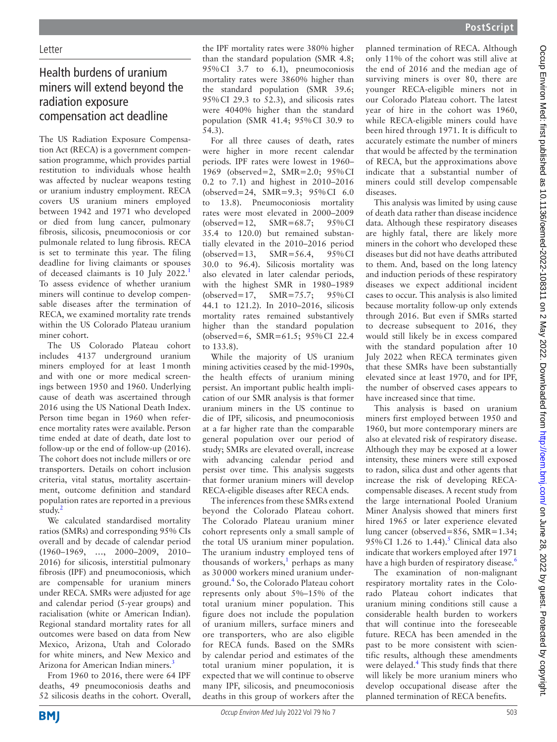## Health burdens of uranium miners will extend beyond the radiation exposure compensation act deadline

The US Radiation Exposure Compensation Act (RECA) is a government compensation programme, which provides partial restitution to individuals whose health was affected by nuclear weapons testing or uranium industry employment. RECA covers US uranium miners employed between 1942 and 1971 who developed or died from lung cancer, pulmonary fibrosis, silicosis, pneumoconiosis or cor pulmonale related to lung fibrosis. RECA is set to terminate this year. The filing deadline for living claimants or spouses of deceased claimants is 10 July 2022.[1](#page-1-0) To assess evidence of whether uranium miners will continue to develop compensable diseases after the termination of RECA, we examined mortality rate trends within the US Colorado Plateau uranium miner cohort.

The US Colorado Plateau cohort includes 4137 underground uranium miners employed for at least 1month and with one or more medical screenings between 1950 and 1960. Underlying cause of death was ascertained through 2016 using the US National Death Index. Person time began in 1960 when reference mortality rates were available. Person time ended at date of death, date lost to follow-up or the end of follow-up (2016). The cohort does not include millers or ore transporters. Details on cohort inclusion criteria, vital status, mortality ascertainment, outcome definition and standard population rates are reported in a previous study.<sup>2</sup>

We calculated standardised mortality ratios (SMRs) and corresponding 95% CIs overall and by decade of calendar period (1960–1969, …, 2000–2009, 2010– 2016) for silicosis, interstitial pulmonary fibrosis (IPF) and pneumoconiosis, which are compensable for uranium miners under RECA. SMRs were adjusted for age and calendar period (5-year groups) and racialisation (white or American Indian). Regional standard mortality rates for all outcomes were based on data from New Mexico, Arizona, Utah and Colorado for white miners, and New Mexico and Arizona for American Indian miners.<sup>[3](#page-1-2)</sup>

From 1960 to 2016, there were 64 IPF deaths, 49 pneumoconiosis deaths and 52 silicosis deaths in the cohort. Overall, the IPF mortality rates were 380% higher than the standard population (SMR 4.8; 95%CI 3.7 to 6.1), pneumoconiosis mortality rates were 3860% higher than the standard population (SMR 39.6; 95%CI 29.3 to 52.3), and silicosis rates were 4040% higher than the standard population (SMR 41.4; 95%CI 30.9 to 54.3).

For all three causes of death, rates were higher in more recent calendar periods. IPF rates were lowest in 1960– 1969 (observed=2, SMR=2.0; 95%CI 0.2 to 7.1) and highest in 2010–2016 (observed=24, SMR=9.3; 95%CI 6.0 to 13.8). Pneumoconiosis mortality rates were most elevated in 2000–2009 (observed=12, SMR=68.7; 95%CI 35.4 to 120.0) but remained substantially elevated in the 2010–2016 period (observed=13, SMR=56.4, 95%CI 30.0 to 96.4). Silicosis mortality was also elevated in later calendar periods, with the highest SMR in 1980–1989 (observed=17, SMR=75.7; 95%CI 44.1 to 121.2). In 2010–2016, silicosis mortality rates remained substantively higher than the standard population (observed=6, SMR=61.5; 95%CI 22.4 to 133.8).

While the majority of US uranium mining activities ceased by the mid-1990s, the health effects of uranium mining persist. An important public health implication of our SMR analysis is that former uranium miners in the US continue to die of IPF, silicosis, and pneumoconiosis at a far higher rate than the comparable general population over our period of study; SMRs are elevated overall, increase with advancing calendar period and persist over time. This analysis suggests that former uranium miners will develop RECA-eligible diseases after RECA ends.

The inferences from these SMRs extend beyond the Colorado Plateau cohort. The Colorado Plateau uranium miner cohort represents only a small sample of the total US uranium miner population. The uranium industry employed tens of thousands of workers, $<sup>1</sup>$  $<sup>1</sup>$  $<sup>1</sup>$  perhaps as many</sup> as 30 000 workers mined uranium underground.[4](#page-1-3) So, the Colorado Plateau cohort represents only about 5%–15% of the total uranium miner population. This figure does not include the population of uranium millers, surface miners and ore transporters, who are also eligible for RECA funds. Based on the SMRs by calendar period and estimates of the total uranium miner population, it is expected that we will continue to observe many IPF, silicosis, and pneumoconiosis deaths in this group of workers after the

planned termination of RECA. Although only 11% of the cohort was still alive at the end of 2016 and the median age of surviving miners is over 80, there are younger RECA-eligible miners not in our Colorado Plateau cohort. The latest year of hire in the cohort was 1960, while RECA-eligible miners could have been hired through 1971. It is difficult to accurately estimate the number of miners that would be affected by the termination of RECA, but the approximations above indicate that a substantial number of miners could still develop compensable diseases.

This analysis was limited by using cause of death data rather than disease incidence data. Although these respiratory diseases are highly fatal, there are likely more miners in the cohort who developed these diseases but did not have deaths attributed to them. And, based on the long latency and induction periods of these respiratory diseases we expect additional incident cases to occur. This analysis is also limited because mortality follow-up only extends through 2016. But even if SMRs started to decrease subsequent to 2016, they would still likely be in excess compared with the standard population after 10 July 2022 when RECA terminates given that these SMRs have been substantially elevated since at least 1970, and for IPF, the number of observed cases appears to have increased since that time.

This analysis is based on uranium miners first employed between 1950 and 1960, but more contemporary miners are also at elevated risk of respiratory disease. Although they may be exposed at a lower intensity, these miners were still exposed to radon, silica dust and other agents that increase the risk of developing RECAcompensable diseases. A recent study from the large international Pooled Uranium Miner Analysis showed that miners first hired 1965 or later experience elevated lung cancer (observed=856, SMR=1.34; 9[5](#page-1-4)% CI 1.26 to 1.44).<sup>5</sup> Clinical data also indicate that workers employed after 1971 have a high burden of respiratory disease.<sup>[6](#page-1-5)</sup>

The examination of non-malignant respiratory mortality rates in the Colorado Plateau cohort indicates that uranium mining conditions still cause a considerable health burden to workers that will continue into the foreseeable future. RECA has been amended in the past to be more consistent with scientific results, although these amendments were delayed.<sup>[4](#page-1-3)</sup> This study finds that there will likely be more uranium miners who develop occupational disease after the planned termination of RECA benefits.